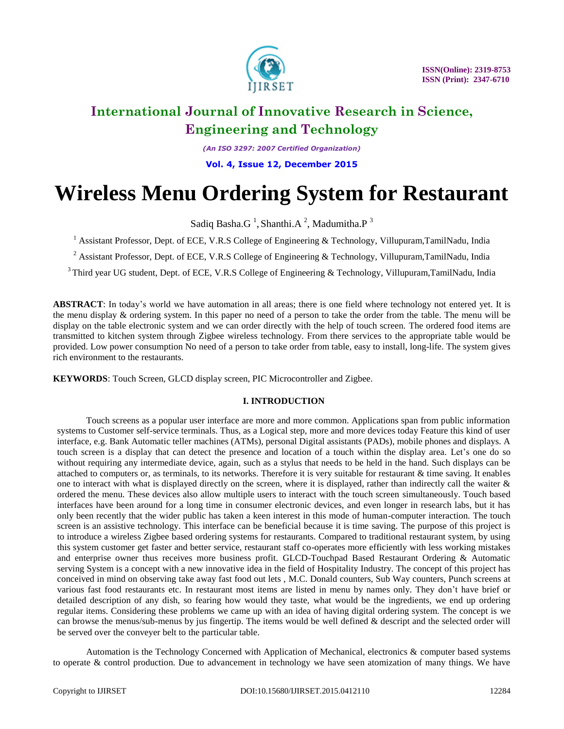

*(An ISO 3297: 2007 Certified Organization)*

**Vol. 4, Issue 12, December 2015**

# **Wireless Menu Ordering System for Restaurant**

Sadiq Basha. $G<sup>1</sup>$ , Shanthi.A<sup>2</sup>, Madumitha.P<sup>3</sup>

<sup>1</sup> Assistant Professor, Dept. of ECE, V.R.S College of Engineering & Technology, Villupuram,TamilNadu, India

<sup>2</sup> Assistant Professor, Dept. of ECE, V.R.S College of Engineering & Technology, Villupuram,TamilNadu, India

<sup>3</sup>Third year UG student, Dept. of ECE, V.R.S College of Engineering & Technology, Villupuram,TamilNadu, India

**ABSTRACT**: In today's world we have automation in all areas; there is one field where technology not entered yet. It is the menu display & ordering system. In this paper no need of a person to take the order from the table. The menu will be display on the table electronic system and we can order directly with the help of touch screen. The ordered food items are transmitted to kitchen system through Zigbee wireless technology. From there services to the appropriate table would be provided. Low power consumption No need of a person to take order from table, easy to install, long-life. The system gives rich environment to the restaurants.

**KEYWORDS**: Touch Screen, GLCD display screen, PIC Microcontroller and Zigbee.

### **I. INTRODUCTION**

Touch screens as a popular user interface are more and more common. Applications span from public information systems to Customer self-service terminals. Thus, as a Logical step, more and more devices today Feature this kind of user interface, e.g. Bank Automatic teller machines (ATMs), personal Digital assistants (PADs), mobile phones and displays. A touch screen is a display that can detect the presence and location of a touch within the display area. Let's one do so without requiring any intermediate device, again, such as a stylus that needs to be held in the hand. Such displays can be attached to computers or, as terminals, to its networks. Therefore it is very suitable for restaurant & time saving. It enables one to interact with what is displayed directly on the screen, where it is displayed, rather than indirectly call the waiter & ordered the menu. These devices also allow multiple users to interact with the touch screen simultaneously. Touch based interfaces have been around for a long time in consumer electronic devices, and even longer in research labs, but it has only been recently that the wider public has taken a keen interest in this mode of human-computer interaction. The touch screen is an assistive technology. This interface can be beneficial because it is time saving. The purpose of this project is to introduce a wireless Zigbee based ordering systems for restaurants. Compared to traditional restaurant system, by using this system customer get faster and better service, restaurant staff co-operates more efficiently with less working mistakes and enterprise owner thus receives more business profit. GLCD-Touchpad Based Restaurant Ordering & Automatic serving System is a concept with a new innovative idea in the field of Hospitality Industry. The concept of this project has conceived in mind on observing take away fast food out lets , M.C. Donald counters, Sub Way counters, Punch screens at various fast food restaurants etc. In restaurant most items are listed in menu by names only. They don't have brief or detailed description of any dish, so fearing how would they taste, what would be the ingredients, we end up ordering regular items. Considering these problems we came up with an idea of having digital ordering system. The concept is we can browse the menus/sub-menus by jus fingertip. The items would be well defined & descript and the selected order will be served over the conveyer belt to the particular table.

Automation is the Technology Concerned with Application of Mechanical, electronics & computer based systems to operate & control production. Due to advancement in technology we have seen atomization of many things. We have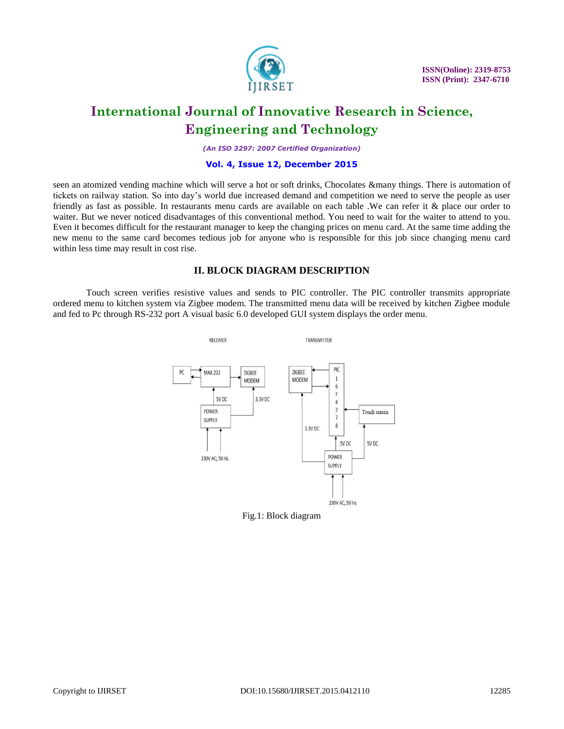

*(An ISO 3297: 2007 Certified Organization)*

#### **Vol. 4, Issue 12, December 2015**

seen an atomized vending machine which will serve a hot or soft drinks, Chocolates &many things. There is automation of tickets on railway station. So into day's world due increased demand and competition we need to serve the people as user friendly as fast as possible. In restaurants menu cards are available on each table .We can refer it & place our order to waiter. But we never noticed disadvantages of this conventional method. You need to wait for the waiter to attend to you. Even it becomes difficult for the restaurant manager to keep the changing prices on menu card. At the same time adding the new menu to the same card becomes tedious job for anyone who is responsible for this job since changing menu card within less time may result in cost rise.

### **II. BLOCK DIAGRAM DESCRIPTION**

Touch screen verifies resistive values and sends to PIC controller. The PIC controller transmits appropriate ordered menu to kitchen system via Zigbee modem. The transmitted menu data will be received by kitchen Zigbee module and fed to Pc through RS-232 port A visual basic 6.0 developed GUI system displays the order menu.



Fig.1: Block diagram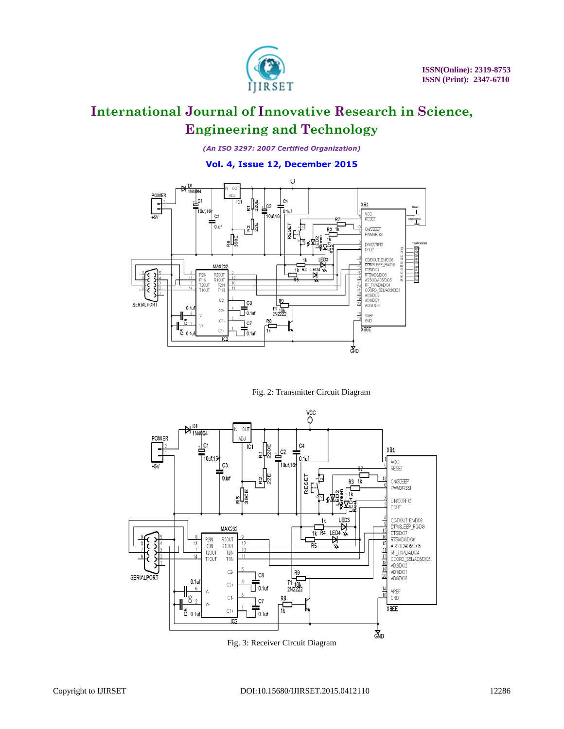

*(An ISO 3297: 2007 Certified Organization)*

### **Vol. 4, Issue 12, December 2015**



Fig. 2: Transmitter Circuit Diagram



Fig. 3: Receiver Circuit Diagram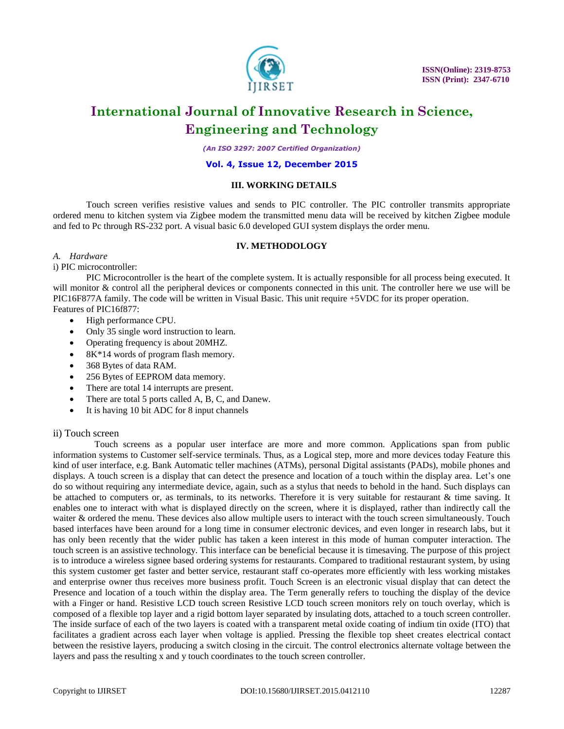

*(An ISO 3297: 2007 Certified Organization)*

#### **Vol. 4, Issue 12, December 2015**

### **III. WORKING DETAILS**

Touch screen verifies resistive values and sends to PIC controller. The PIC controller transmits appropriate ordered menu to kitchen system via Zigbee modem the transmitted menu data will be received by kitchen Zigbee module and fed to Pc through RS-232 port. A visual basic 6.0 developed GUI system displays the order menu.

### **IV. METHODOLOGY**

#### *A. Hardware*

i) PIC microcontroller:

PIC Microcontroller is the heart of the complete system. It is actually responsible for all process being executed. It will monitor & control all the peripheral devices or components connected in this unit. The controller here we use will be PIC16F877A family. The code will be written in Visual Basic. This unit require +5VDC for its proper operation*.* Features of PIC16f877:

- High performance CPU.
- Only 35 single word instruction to learn.
- Operating frequency is about 20MHZ.
- 8K\*14 words of program flash memory.
- 368 Bytes of data RAM.
- 256 Bytes of EEPROM data memory.
- There are total 14 interrupts are present.
- There are total 5 ports called A, B, C, and Danew.
- It is having 10 bit ADC for 8 input channels

#### ii) Touch screen

Touch screens as a popular user interface are more and more common. Applications span from public information systems to Customer self-service terminals. Thus, as a Logical step, more and more devices today Feature this kind of user interface, e.g. Bank Automatic teller machines (ATMs), personal Digital assistants (PADs), mobile phones and displays. A touch screen is a display that can detect the presence and location of a touch within the display area. Let's one do so without requiring any intermediate device, again, such as a stylus that needs to behold in the hand. Such displays can be attached to computers or, as terminals, to its networks. Therefore it is very suitable for restaurant & time saving. It enables one to interact with what is displayed directly on the screen, where it is displayed, rather than indirectly call the waiter & ordered the menu. These devices also allow multiple users to interact with the touch screen simultaneously. Touch based interfaces have been around for a long time in consumer electronic devices, and even longer in research labs, but it has only been recently that the wider public has taken a keen interest in this mode of human computer interaction. The touch screen is an assistive technology. This interface can be beneficial because it is timesaving. The purpose of this project is to introduce a wireless signee based ordering systems for restaurants. Compared to traditional restaurant system, by using this system customer get faster and better service, restaurant staff co-operates more efficiently with less working mistakes and enterprise owner thus receives more business profit. Touch Screen is an electronic visual display that can detect the Presence and location of a touch within the display area. The Term generally refers to touching the display of the device with a Finger or hand. Resistive LCD touch screen Resistive LCD touch screen monitors rely on touch overlay, which is composed of a flexible top layer and a rigid bottom layer separated by insulating dots, attached to a touch screen controller. The inside surface of each of the two layers is coated with a transparent metal oxide coating of indium tin oxide (ITO) that facilitates a gradient across each layer when voltage is applied. Pressing the flexible top sheet creates electrical contact between the resistive layers, producing a switch closing in the circuit. The control electronics alternate voltage between the layers and pass the resulting x and y touch coordinates to the touch screen controller.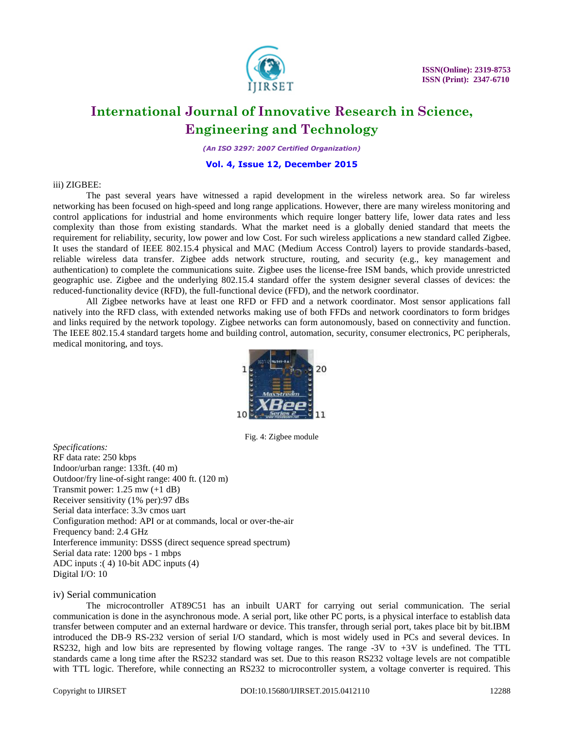

*(An ISO 3297: 2007 Certified Organization)*

#### **Vol. 4, Issue 12, December 2015**

#### iii) ZIGBEE:

The past several years have witnessed a rapid development in the wireless network area. So far wireless networking has been focused on high-speed and long range applications. However, there are many wireless monitoring and control applications for industrial and home environments which require longer battery life, lower data rates and less complexity than those from existing standards. What the market need is a globally denied standard that meets the requirement for reliability, security, low power and low Cost. For such wireless applications a new standard called Zigbee. It uses the standard of IEEE 802.15.4 physical and MAC (Medium Access Control) layers to provide standards-based, reliable wireless data transfer. Zigbee adds network structure, routing, and security (e.g., key management and authentication) to complete the communications suite. Zigbee uses the license-free ISM bands, which provide unrestricted geographic use. Zigbee and the underlying 802.15.4 standard offer the system designer several classes of devices: the reduced-functionality device (RFD), the full-functional device (FFD), and the network coordinator.

All Zigbee networks have at least one RFD or FFD and a network coordinator. Most sensor applications fall natively into the RFD class, with extended networks making use of both FFDs and network coordinators to form bridges and links required by the network topology. Zigbee networks can form autonomously, based on connectivity and function. The IEEE 802.15.4 standard targets home and building control, automation, security, consumer electronics, PC peripherals, medical monitoring, and toys.



Fig. 4: Zigbee module

*Specifications:* RF data rate: 250 kbps Indoor/urban range: 133ft. (40 m) Outdoor/fry line-of-sight range: 400 ft. (120 m) Transmit power: 1.25 mw (+1 dB) Receiver sensitivity (1% per):97 dBs Serial data interface: 3.3v cmos uart Configuration method: API or at commands, local or over-the-air Frequency band: 2.4 GHz Interference immunity: DSSS (direct sequence spread spectrum) Serial data rate: 1200 bps - 1 mbps ADC inputs :( 4) 10-bit ADC inputs (4) Digital I/O: 10

#### iv) Serial communication

The microcontroller [AT89C51](http://www.engineersgarage.com/at89c51-or-89c51-microcontroller) has an inbuilt UART for carrying out serial communication. The serial communication is done in the asynchronous mode. A serial port, like other PC ports, is a physical interface to establish data transfer between computer and an external hardware or device. This transfer, through serial port, takes place bit by bit.IBM introduced the DB-9 RS-232 version of serial I/O standard, which is most widely used in PCs and several devices. In RS232, high and low bits are represented by flowing voltage ranges. The range -3V to +3V is undefined. The TTL standards came a long time after the RS232 standard was set. Due to this reason RS232 voltage levels are not compatible with TTL logic. Therefore, while connecting an RS232 to microcontroller system, a voltage converter is required. This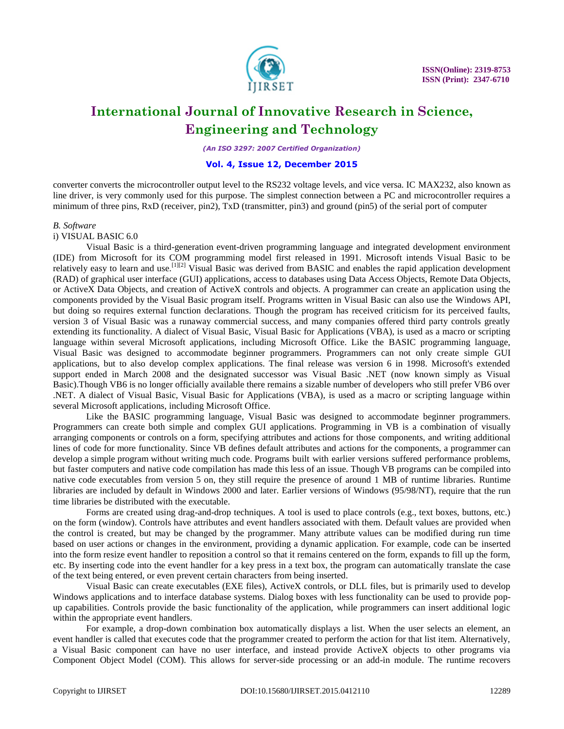

*(An ISO 3297: 2007 Certified Organization)*

#### **Vol. 4, Issue 12, December 2015**

converter converts the microcontroller output level to the RS232 voltage levels, and vice versa. IC [MAX232,](http://www.engineersgarage.com/content/ic-max232) also known as line driver, is very commonly used for this purpose. The simplest connection between a PC and microcontroller requires a minimum of three pins, RxD (receiver, pin2), TxD (transmitter, pin3) and ground (pin5) of the serial port of computer

#### *B. Software*

i) VISUAL BASIC 6.0

Visual Basic is a [third-generation](http://en.wikipedia.org/wiki/Third-generation_programming_language) [event-driven programming language](http://en.wikipedia.org/wiki/Event-driven_programming) and [integrated development environment](http://en.wikipedia.org/wiki/Integrated_development_environment) (IDE) from [Microsoft](http://en.wikipedia.org/wiki/Microsoft) for its [COM](http://en.wikipedia.org/wiki/Component_Object_Model) programming model first released in 1991. Microsoft intends Visual Basic to be relatively easy to learn and use[.](http://en.wikipedia.org/wiki/Visual_Basic#cite_note-1)<sup>[\[1\]\[2\]](http://en.wikipedia.org/wiki/Visual_Basic#cite_note-1)</sup> Visual Basic was derived from [BASIC](http://en.wikipedia.org/wiki/BASIC) and enables the rapid application development [\(RAD\)](http://en.wikipedia.org/wiki/Rapid_application_development) o[f graphical user interface \(GUI\)](http://en.wikipedia.org/wiki/Graphical_user_interface) applications, access t[o databases](http://en.wikipedia.org/wiki/Database) usin[g Data Access Objects,](http://en.wikipedia.org/wiki/Data_Access_Object) [Remote Data Objects,](http://en.wikipedia.org/wiki/Remote_Data_Objects) or [ActiveX Data Objects,](http://en.wikipedia.org/wiki/ActiveX_Data_Object) and creation of [ActiveX](http://en.wikipedia.org/wiki/ActiveX) controls and objects. A programmer can create an application using the [components](http://en.wikipedia.org/wiki/Component-based_software_engineering) provided by the Visual Basic program itself. Programs written in Visual Basic can also use the [Windows API,](http://en.wikipedia.org/wiki/Windows_API) but doing so requires external function declarations. Though the program has received criticism for its perceived faults, version 3 of Visual Basic was a runaway commercial success, and many companies offered third party controls greatly extending its functionality. A dialect of Visual Basic, [Visual Basic for Applications](http://en.wikipedia.org/wiki/Visual_Basic_for_Applications) (VBA), is used as a macro or scripting language within several Microsoft applications, including Microsoft Office. Like the [BASIC](http://en.wikipedia.org/wiki/BASIC) programming language, Visual Basic was designed to accommodate beginner programmers. Programmers can not only create simple [GUI](http://en.wikipedia.org/wiki/Graphical_user_interface) applications, but to also develop complex applications. The final release was version 6 in 1998. Microsoft's extended support ended in March 2008 and the designated successor was [Visual Basic .NET](http://en.wikipedia.org/wiki/Visual_Basic_.NET) (now known simply as Visual Basic).Though VB6 is no longer officially available there remains a sizable number of developers who still prefer VB6 over .NET. A dialect of Visual Basic, Visual Basic for Applications (VBA), is used as a macro or scripting language within several Microsoft applications, including Microsoft Office.

Like the [BASIC](http://en.wikipedia.org/wiki/BASIC) programming language, Visual Basic was designed to accommodate beginner programmers. Programmers can create both simple and complex [GUI](http://en.wikipedia.org/wiki/Graphical_user_interface) applications. Programming in VB is a combination of visually arranging [components](http://en.wikipedia.org/wiki/GUI_widget) or [controls](http://en.wikipedia.org/wiki/GUI_widget) on a [form,](http://en.wikipedia.org/wiki/Form_%28programming%29) specifying attributes and actions for those components, and writing additional lines of [code](http://en.wikipedia.org/wiki/Source_code) for more functionality. Since VB defines default attributes and actions for the components, a programmer can develop a simple program without writing much code. Programs built with earlier versions suffered performance problems, but faster computers and native code compilation has made this less of an issue. Though VB programs can be compiled into native code executables from [version](http://en.wikipedia.org/wiki/Visual_Basic#Timeline_of_Visual_Basic_.28VB1_to_VB6.29) 5 on, they still require the presence of around 1 MB of runtime libraries. Runtime libraries are included by default in [Windows](http://en.wikipedia.org/wiki/Windows_2000) 2000 and later. Earlier versions of [Windows](http://en.wikipedia.org/wiki/Microsoft_Windows) (95/98/NT), require that the run time libraries be distributed with the executable.

Forms are created using drag-and-drop techniques. A tool is used to place controls (e.g., text boxes, buttons, etc.) on the form (window). Controls have attributes and event handlers associated with them. Default values are provided when the control is created, but may be changed by the programmer. Many attribute values can be modified during run time based on user actions or changes in the environment, providing a dynamic application. For example, code can be inserted into the form resize event handler to reposition a control so that it remains centered on the form, expands to fill up the form, etc. By inserting code into the event handler for a key press in a text box, the program can automatically translate the case of the text being entered, or even prevent certain characters from being inserted.

Visual Basic can create executables (EXE files), ActiveX controls, or DLL files, but is primarily used to develop Windows applications and to interface database systems. Dialog boxes with less functionality can be used to provide popup capabilities. Controls provide the basic functionality of the application, while programmers can insert additional logic within the appropriate event handlers.

For example, a drop-down combination box automatically displays a list. When the user selects an element, an event handler is called that executes code that the programmer created to perform the action for that list item. Alternatively, a Visual Basic component can have no user interface, and instead provide ActiveX objects to other programs via Component Object Model (COM). This allows for server-side processing or an add-in module. The runtime recovers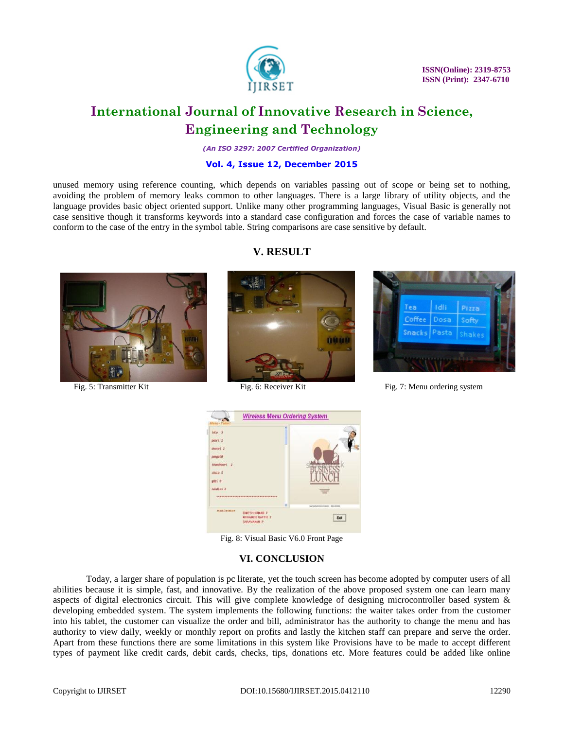

*(An ISO 3297: 2007 Certified Organization)*

### **Vol. 4, Issue 12, December 2015**

unused memory using reference counting, which depends on variables passing out of scope or being set to nothing, avoiding the problem of memory leaks common to other languages. There is a large library of utility objects, and the language provides basic object oriented support. Unlike many other programming languages, Visual Basic is generally not case sensitive though it transforms keywords into a standard case configuration and forces the case of variable names to conform to the case of the entry in the symbol table. String comparisons are case sensitive by default.



## **V. RESULT**





Fig. 5: Transmitter Kit Fig. 6: Receiver Kit Fig. 7: Menu ordering system



Fig. 8: Visual Basic V6.0 Front Page

### **VI. CONCLUSION**

Today, a larger share of population is pc literate, yet the touch screen has become adopted by computer users of all abilities because it is simple, fast, and innovative. By the realization of the above proposed system one can learn many aspects of digital electronics circuit. This will give complete knowledge of designing microcontroller based system & developing embedded system. The system implements the following functions: the waiter takes order from the customer into his tablet, the customer can visualize the order and bill, administrator has the authority to change the menu and has authority to view daily, weekly or monthly report on profits and lastly the kitchen staff can prepare and serve the order. Apart from these functions there are some limitations in this system like Provisions have to be made to accept different types of payment like credit cards, debit cards, checks, tips, donations etc. More features could be added like online